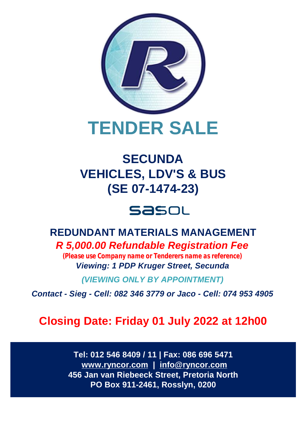

# **SECUNDA VEHICLES, LDV'S & BUS (SE 07-1474-23)**

# Sasou

# **REDUNDANT MATERIALS MANAGEMENT**

*R 5,000.00 Refundable Registration Fee (Please use Company name or Tenderers name as reference) Viewing: 1 PDP Kruger Street, Secunda*

*(VIEWING ONLY BY APPOINTMENT)*

*Contact - Sieg - Cell: 082 346 3779 or Jaco - Cell: 074 953 4905*

# **Closing Date: Friday 01 July 2022 at 12h00**

**Tel: 012 546 8409 / 11 | Fax: 086 696 5471 [www.ryncor.com](http://www.ryncor.com) | [info@ryncor.com](mailto:info@ryncor.com) 456 Jan van Riebeeck Street, Pretoria North PO Box 911-2461, Rosslyn, 0200**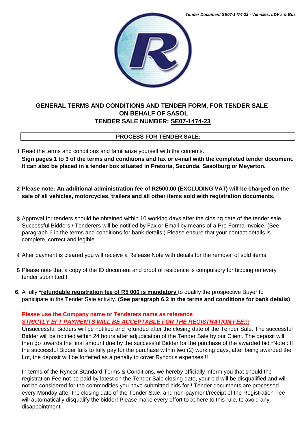

### **GENERAL TERMS AND CONDITIONS AND TENDER FORM, FOR TENDER SALE ON BEHALF OF SASOL TENDER SALE NUMBER: SE07-1474-23**

### **PROCESS FOR TENDER SALE:**

**1** Read the terms and conditions and familiarize yourself with the contents. **Sign pages 1 to 3 of the terms and conditions and fax or e-mail with the completed tender document. It can also be placed in a tender box situated in Pretoria, Secunda, Sasolburg or Meyerton.**

- **2 Please note: An additional administration fee of R2500,00 (EXCLUDING VAT) will be charged on the sale of all vehicles, motorcycles, trailers and all other items sold with registration documents.**
- **3** Approval for tenders should be obtained within 10 working days after the closing date of the tender sale. Successful Bidders / Tenderers will be notified by Fax or Email by means of a Pro Forma Invoice. (See paragraph 6 in the terms and conditions for bank details.) Please ensure that your contact details is complete, correct and legible.
- **4** After payment is cleared you will receive a Release Note with details for the removal of sold items.
- **5** Please note that a copy of the ID document and proof of residence is compulsory for bidding on every tender submitted!!
- **6.** A fully **\*refundable registration fee of R5 000 is mandatory** to qualify the prospective Buyer to participate in the Tender Sale activity. **(See paragraph 6.2 in the terms and conditions for bank details)**

### **Please use the Company name or Tenderers name as reference** *STRICTLY EFT PAYMENTS WILL BE ACCEPTABLE FOR THE REGISTRATION FEE!!!*

Unsuccessful Bidders will be notified and refunded after the closing date of the Tender Sale. The successful Bidder will be notified within 24 hours after adjudication of the Tender Sale by our Client. The deposit will then go towards the final amount due by the successful Bidder for the purchase of the awarded bid.\*Note : If the successful Bidder fails to fully pay for the purchase within two (2) working days, after being awarded the Lot, the deposit will be forfeited as a penalty to cover Ryncor's expenses !!

In terms of the Ryncor Standard Terms & Conditions, we hereby officially inform you that should the registration Fee not be paid by latest on the Tender Sale closing date, your bid will be disqualified and will not be considered for the commodities you have submitted bids for ! Tender documents are processed every Monday after the closing date of the Tender Sale, and non-payment/receipt of the Registration Fee will automatically disqualify the bidder! Please make every effort to adhere to this rule, to avoid any disappointment.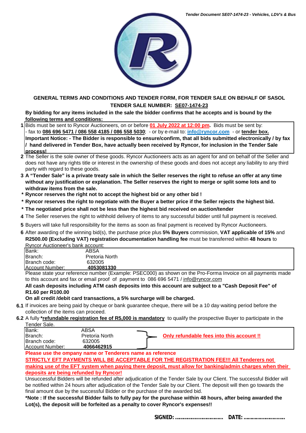

#### **GENERAL TERMS AND CONDITIONS AND TENDER FORM, FOR TENDER SALE ON BEHALF OF SASOL TENDER SALE NUMBER: SE07-1474-23**

**By bidding for any items included in the sale the bidder confirms that he accepts and is bound by the following terms and conditions:**

- **1** Bids must be sent to Ryncor Auctioneers, on or before **01 July 2022 at 12:00 pm.** Bids must be sent by: - fax to **086 696 5471 / 086 558 4185 / 086 558 5030**; - or by e-mail to: **[info@ryncor.com](mailto:info@ryncor.com)** - or **tender box. Important Notice: - The Bidder is responsible to ensure/confirm, that all bids submitted electronically / by fax / hand delivered in Tender Box, have actually been received by Ryncor, for inclusion in the Tender Sale process!**
- **2** The Seller is the sole owner of these goods. Ryncor Auctioneers acts as an agent for and on behalf of the Seller and does not have any rights title or interest in the ownership of these goods and does not accept any liability to any third party with regard to these goods.
- **3 A "Tender Sale" is a private treaty sale in which the Seller reserves the right to refuse an offer at any time without any justification or explanation. The Seller reserves the right to merge or split some lots and to withdraw items from the sale.**
- **\* Ryncor reserves the right not to accept the highest bid or any other bid !**
- **\* Ryncor reserves the right to negotiate with the Buyer a better price if the Seller rejects the highest bid.**
- **\* The negotiated price shall not be less than the highest bid received on auction/tender**
- **4** The Seller reserves the right to withhold delivery of items to any successful bidder until full payment is received.
- **5** Buyers will take full responsibility for the items as soon as final payment is received by Ryncor Auctioneers.
- **6** After awarding of the winning bid(s), the purchase price plus **5% Buyers** commission, **VAT applicable of 15%** and **R2500.00 (Excluding VAT) registration documentation handling fee** must be transferred within **48 hours** to Ryncor Auctioneer's bank account:

| Bank:                   | ABSA                                                                                                          |  |  |  |
|-------------------------|---------------------------------------------------------------------------------------------------------------|--|--|--|
| Branch:                 | Pretoria North                                                                                                |  |  |  |
| <b>IBranch code:</b>    | 632005                                                                                                        |  |  |  |
| <b>IAccount Number:</b> | 4053081330                                                                                                    |  |  |  |
|                         | Discos state veux reference number (Evemple: DCEC000) so obours on the Dre Ferme Invoice on all nouments mode |  |  |  |

Please state your reference number (Example: PSEC000) as shown on the Pro-Forma Invoice on all payments made to this account and fax or email proof of payment to 086 696 5471 / [info@ryncor.com](mailto:info@ryncor.com)

#### **All cash deposits including ATM cash deposits into this account are subject to a "Cash Deposit Fee" of R1.60 per R100.00**

**On all credit /debit card transactions, a 5% surcharge will be charged.**

- **6.1** If invoices are being paid by cheque or bank guarantee cheque, there will be a 10 day waiting period before the collection of the items can proceed.
- **6.2** A fully **\*refundable registration fee of R5,000 is mandatory** to qualify the prospective Buyer to participate in the Tender Sale.

| Bank:                   | ABSA           |                                           |
|-------------------------|----------------|-------------------------------------------|
| Branch:                 | Pretoria North | Only refundable fees into this account !! |
| Branch code:            | 632005         |                                           |
| <b>IAccount Number:</b> | 4066462915     |                                           |

**Please use the ompany name or Tenderers name as reference**

**STRICTLY EFT PAYMENTS WILL BE ACCEPTABLE FOR THE REGISTRATION FEE!!! All Tenderers not** 

**making use of the EFT system when paying there deposit, must allow for banking/admin charges when their deposits are being refunded by Ryncor!**

Unsuccessful Bidders will be refunded after adjudication of the Tender Sale by our Client. The successful Bidder will be notified within 24 hours after adjudication of the Tender Sale by our Client. The deposit will then go towards the final amount due by the successful Bidder or the purchase of the awarded bid.

**\*Note : If the successful Bidder fails to fully pay for the purchase within 48 hours, after being awarded the Lot(s), the deposit will be forfeited as a penalty to cover Ryncor's expenses!!**

**SIGNED: ……………..……………... DATE: ………….………...…..**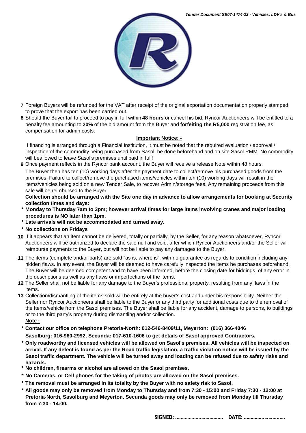

- **7** Foreign Buyers will be refunded for the VAT after receipt of the original exportation documentation properly stamped to prove that the export has been carried out.
- **8** Should the Buyer fail to proceed to pay in full within **48 hours** or cancel his bid, Ryncor Auctioneers will be entitled to a penalty fee amounting to **20%** of the bid amount from the Buyer and **forfeiting the R5,000** registration fee, as compensation for admin costs.

#### **Important Notice: -**

If financing is arranged through a Financial Institution, it must be noted that the required evaluation / approval / inspection of the commodity being purchased from Sasol, be done beforehand and on site Sasol RMM. No commodity will beallowed to leave Sasol's premises until paid in full!

**9** Once payment reflects in the Ryncor bank account, the Buyer will receive a release Note within 48 hours.

The Buyer then has ten (10) working days after the payment date to collect/remove his purchased goods from the premises. Failure to collect/remove the purchased items/vehicles within ten (10) working days will result in the items/vehicles being sold on a new Tender Sale, to recover Admin/storage fees. Any remaining proceeds from this sale will be reimbursed to the Buyer.

**Collection should be arranged with the Site one day in advance to allow arrangements for booking at Security collection times and days:**

- **\* Monday to Thursday 7am to 3pm; however arrival times for large items involving cranes and major loading procedures is NO later than 1pm.**
- **\* Late arrivals will not be accommodated and turned away.**
- **\* No collections on Fridays**
- **10** If it appears that an item cannot be delivered, totally or partially, by the Seller, for any reason whatsoever, Ryncor Auctioneers will be authorized to declare the sale null and void, after which Ryncor Auctioneers and/or the Seller will reimburse payments to the Buyer, but will not be liable to pay any damages to the Buyer.
- **11** The items (complete and/or parts) are sold "as is, where is", with no guarantee as regards to condition including any hidden flaws. In any event, the Buyer will be deemed to have carefully inspected the items he purchases beforehand. The Buyer will be deemed competent and to have been informed, before the closing date for biddings, of any error in the descriptions as well as any flaws or imperfections of the items.
- **12** The Seller shall not be liable for any damage to the Buyer's professional property, resulting from any flaws in the items.
- **13** Collection/dismantling of the items sold will be entirely at the buyer's cost and under his responsibility. Neither the Seller nor Ryncor Auctioneers shall be liable to the Buyer or any third party for additional costs due to the removal of the Items/vehicle from the Sasol premises. The Buyer shall be liable for any accident, damage to persons, to buildings or to the third party's property during dismantling and/or collection.

**Note :**

**\* Contact our office on telephone Pretoria-North: 012-546-8409/11, Meyerton: (016) 366-4046 Sasolburg: 016-960-2992, Secunda: 017-610-1606 to get details of Sasol approved Contractors.** 

- **\* Only roadworthy and licensed vehicles will be allowed on Sasol's premises. All vehicles will be inspected on arrival. If any defect is found as per the Road traffic legislation, a traffic violation notice will be issued by the Sasol traffic department. The vehicle will be turned away and loading can be refused due to safety risks and hazards.**
- **\* No children, firearms or alcohol are allowed on the Sasol premises.**
- **\* No Cameras, or Cell phones for the taking of photos are allowed on the Sasol premises.**
- **\* The removal must be arranged in its totality by the Buyer with no safety risk to Sasol.**
- **\* All goods may only be removed from Monday to Thursday and from 7:30 15:00 and Friday 7:30 12:00 at Pretoria-North, Sasolburg and Meyerton. Secunda goods may only be removed from Monday till Thursday from 7:30 - 14:00.**

**SIGNED: ……………..……………... DATE: ………….………...…..**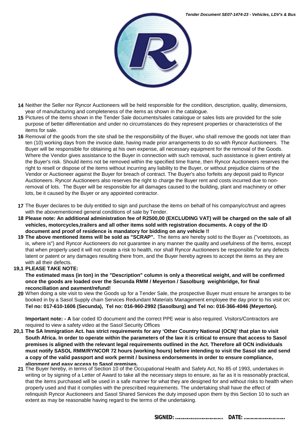

- **14** Neither the Seller nor Ryncor Auctioneers will be held responsible for the condition, description, quality, dimensions, year of manufacturing and completeness of the items as shown in the catalogue.
- **15** Pictures of the items shown in the Tender Sale documents/sales catalogue or sales lists are provided for the sole purpose of better differentiation and under no circumstances do they represent properties or characteristics of the items for sale.
- **16** Removal of the goods from the site shall be the responsibility of the Buyer, who shall remove the goods not later than ten (10) working days from the invoice date, having made prior arrangements to do so with Ryncor Auctioneers. The Buyer will be responsible for obtaining at his own expense, all necessary equipment for the removal of the Goods. Where the Vendor gives assistance to the Buver in connection with such removal, such assistance is given entirely at the Buyer's risk. Should items not be removed within the specified time frame, then Ryncor Auctioneers reserves the right to resell or dispose of the items without incurring any liability to the Buyer, or without prejudice claims of the Vendor or Auctioneer against the Buyer for breach of contract. The Buyer's also forfeits any deposit paid to Ryncor Auctioneers. Ryncor Auctioneers also reserves the right to charge the Buyer rent and costs incurred due to nonremoval of lots. The Buyer will be responsible for all damages caused to the building, plant and machinery or other lots, be it caused by the Buyer or any appointed contractor.
- **17** The Buyer declares to be duly entitled to sign and purchase the items on behalf of his company/cc/trust and agrees with the abovementioned general conditions of sale by Tender.
- **18 Please note: An additional administration fee of R2500,00 (EXCLUDING VAT) will be charged on the sale of all vehicles, motorcycles,trailers and all other items sold with registration documents. A copy of the ID document and proof of residence is mandatory for bidding on any vehicle !!**
- **19 The above mentioned items will be sold as "SCRAP".** The items are hereby sold to the Buyer as ("voetstoots, as is, where is") and Ryncor Auctioneers do not guarantee in any manner the quality and usefulness of the Items, except that when properly used it will not create a risk to health, nor shall Ryncor Auctioneers be responsible for any defects latent or patent or any damages resulting there from, and the Buyer hereby agrees to accept the items as they are with all their defects.

#### **19,1 PLEASE TAKE NOTE:**

**The estimated mass (in ton) in the "Description" column is only a theoretical weight, and will be confirmed once the goods are loaded over the Secunda RMM / Meyerton / Sasolburg weighbridge, for final reconciliation and payment/refund!**

**20** When doing a site visit to view the Goods up for a Tender Sale, the prospective Buyer must ensure he arranges to be booked in by a Sasol Supply chain Services Redundant Materials Management employee the day prior to his visit on; **Tel no: 017-610-1606 (Secunda), Tel no: 016-960-2992 (Sasolburg) and Tel no: 016-366-4046 (Meyerton).** 

**Important note: - A** bar coded ID document and the correct PPE wear is also required. Visitors/Contractors are required to view a safety video at the Sasol Security Offices

- **20,1 The SA Immigration Act. has strict requirements for any 'Other Country National (OCN)' that plan to visit South Africa. In order to operate within the parameters of the law it is critical to ensure that access to Sasol premises is aligned with the relevant legal requirements outlined in the Act. Therefore all OCN individuals must notify SASOL RMM/RYNCOR 72 hours (working hours) before intending to visit the Sasol site and send a copy of the valid passport and work permit / business endorsements in order to ensure compliance, alignment and easy access to Sasol premises.**
	- **21** The Buyer hereby, in terms of Section 10 of the Occupational Health and Safety Act, No 85 of 1993, undertakes in writing or by signing of a Letter of Award to take all the necessary steps to ensure, as far as it is reasonably practical, that the items purchased will be used in a safe manner for what they are designed for and without risks to health when properly used and that it complies with the prescribed requirements. The undertaking shall have the effect of relinquish Ryncor Auctioneers and Sasol Shared Services the duty imposed upon them by this Section 10 to such an extent as may be reasonable having regard to the terms of the undertaking.

**SIGNED: ……………..……………... DATE: ………….………...…..**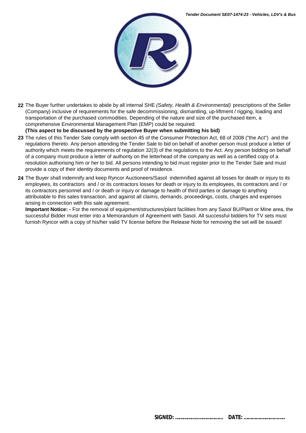

**22** The Buyer further undertakes to abide by all internal SHE *(Safety, Health & Environmental)* prescriptions of the Seller (Company) inclusive of requirements for the safe decommissioning, dismantling, up-liftment / rigging, loading and transportation of the purchased commodities. Depending of the nature and size of the purchased item, a comprehensive Environmental Management Plan (EMP) could be required.

**(This aspect to be discussed by the prospective Buyer when submitting his bid)**

- **23** The rules of this Tender Sale comply with section 45 of the Consumer Protection Act, 68 of 2008 ("the Act") and the regulations thereto. Any person attending the Tender Sale to bid on behalf of another person must produce a letter of authority which meets the requirements of regulation 32(3) of the regulations to the Act. Any person bidding on behalf of a company must produce a letter of authority on the letterhead of the company as well as a certified copy of a resolution authorising him or her to bid. All persons intending to bid must register prior to the Tender Sale and must provide a copy of their identity documents and proof of residence.
- **24** The Buyer shall indemnify and keep Ryncor Auctioneers/Sasol indemnified against all losses for death or injury to its employees, its contractors and / or its contractors losses for death or injury to its employees, its contractors and / or its contractors personnel and / or death or injury or damage to health of third parties or damage to anything attributable to this sales transaction, and against all claims, demands, proceedings, costs, charges and expenses arising in connection with this sale agreement.

**Important Notice: -** For the removal of equipment/structures/plant facilities from any Sasol BU/Plant or Mine area, the successful Bidder must enter into a Memorandum of Agreement with Sasol. All successful bidders for TV sets must furnish Ryncor with a copy of his/her valid TV license before the Release Note for removing the set will be issued!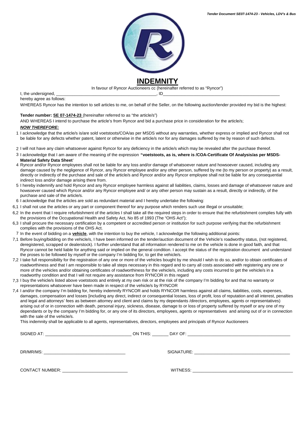

In favour of Ryncor Auctioneers cc (hereinafter referred to as "Ryncor")

I, the undersigned,  $\Box$ hereby agree as follows:

WHEREAS Ryncor has the intention to sell articles to me, on behalf of the Seller, on the following auction/tender provided my bid is the highest:

#### **Tender number: SE 07-1474-23** (hereinafter referred to as "the article/s")

AND WHEREAS I intend to purchase the article's from Ryncor and bid a purchase price in consideration for the article/s;

#### *NOW THEREFORE:*

- 1 I acknowledge that the article/s is/are sold voetstoots/COA/as per MSDS without any warranties, whether express or implied and Ryncor shall not be liable for any defects whether patent, latent or otherwise in the article/s nor for any damages suffered by me by reason of such defects.
- 2 I will not have any claim whatsoever against Ryncor for any deficiency in the article/s which may be revealed after the purchase thereof.
- 3 I acknowledge that I am aware of the meaning of the expression **"voetstoots, as is, where is /COA-Certificate Of Analysis/as per MSDS-Material Safety Data Sheet**'
- 4 Ryncor and/or Ryncor employees shall not be liable for any loss and/or damage of whatsoever nature and howsoever caused, including any damage caused by the negligence of Ryncor, any Ryncor employee and/or any other person, suffered by me (to my person or property) as a result, directly or indirectly of the purchase and sale of the article/s and Ryncor and/or any Ryncor employee shall not be liable for any consequential indirect loss and/or damage arising there from.
- 5 I hereby indemnify and hold Ryncor and any Ryncor employee harmless against all liabilities, claims, losses and damage of whatsoever nature and howsoever caused which Ryncor and/or any Ryncor employee and/ or any other person may sustain as a result, directly or indirectly, of the purchase and sale of the article/s.
- 6 I acknowledge that the articles are sold as redundant material and I hereby undertake the following:
- 6,1 I shall not use the articles or any part or component thereof for any purpose which renders such use illegal or unsuitable;
- 6,2 In the event that I require refurbishment of the articles I shall take all the required steps in order to ensure that the refurbishment complies fully with the provisions of the Occupational Health and Safety Act, No 85 of 1993 (The "OHS Act");
- 6,3 I shall procure the necessary certification by a competent or accredited person or institution for such purpose verifying that the refurbishment complies with the provisions of the OHS Act.
- 7 In the event of bidding on a **vehicle**, with the intention to buy the vehicle, I acknowledge the following additional points:
- 7,1 Before buying/bidding on the vehicle/s, I have been informed on the tender/auction document of the Vehicle's roadworthy status, (not registered, deregistered, scrapped or dealerstock). I further understand that all information rendered to me on the vehicle is done in good faith, and that Ryncor cannot be held liable for anything said or implied on the general condition. I accept the status of the registration document and understand the proses to be followed by myself or the company I'm bidding for, to get the vehicle/s.
- 7,2 I take full responsibility for the registration of any one or more of the vehicles bought by me should I wish to do so, and/or to obtain certificates of roadworthiness and that I am responsible to take all steps necessary in this regard and to carry all costs associated with registering any one or more of the vehicles and/or obtaining certificates of roadworthiness for the vehicle/s, including any costs incurred to get the vehicle/s in a roadworthy condition and that I will not require any assistance from RYNCOR in this regard
- 7,3 I buy the vehicle/s listed above voetstoots and entirely at my own risk or at the risk of the company I'm bidding for and that no warranty or representations whatsoever have been made in respect of the vehicle/s by RYNCOR
- 7,4 I and/or the company I'm bidding for, hereby indemnify RYNCOR and holds RYNCOR harmless against all claims, liabilities, costs, expenses, damages, compensation and losses [including any direct, indirect or consequential losses, loss of profit, loss of reputation and all interest, penalties and legal and attorneys' fees as between attorney and client and claims by my dependants /directors, employees, agents or representatives) arising out of or in connection with death, personal injury, sickness, disease, damage to or loss of property suffered by myself or any one of my dependants or by the company I'm bidding for, or any one of its directors, employees, agents or representatives and arising out of or in connection with the sale of the vehicle/s.

This indemnity shall be applicable to all agents, representatives, directors, employees and principals of Ryncor Auctioneers

SIGNED AT: \_\_\_\_\_\_\_\_\_\_\_\_\_\_\_\_\_\_\_\_\_\_\_\_\_\_\_\_\_\_\_\_\_\_\_\_\_ ON THIS: \_\_\_\_\_\_\_ DAY OF: \_\_\_\_\_\_\_\_\_\_\_\_\_\_\_\_\_\_\_\_\_\_\_\_\_\_\_\_\_\_\_\_\_\_\_\_\_\_\_\_\_\_\_\_ DR/MR/MS: \_\_\_\_\_\_\_\_\_\_\_\_\_\_\_\_\_\_\_\_\_\_\_\_\_\_\_\_\_\_\_\_\_\_\_ SIGNATURE: \_\_\_\_\_\_\_\_\_\_\_\_\_\_\_\_\_\_\_\_\_\_\_\_\_\_\_\_\_\_\_\_\_\_\_\_\_\_\_\_\_ CONTACT NUMBER: \_\_\_\_\_\_\_\_\_\_\_\_\_\_\_\_\_\_\_\_\_\_\_\_\_\_\_\_ WITNESS: \_\_\_\_\_\_\_\_\_\_\_\_\_\_\_\_\_\_\_\_\_\_\_\_\_\_\_\_\_\_\_\_\_\_\_\_\_\_\_\_\_\_\_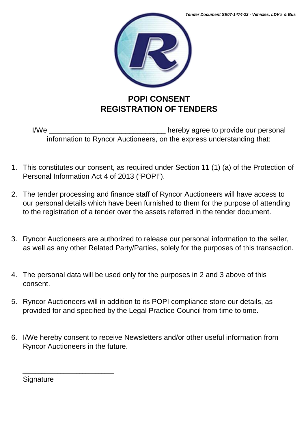

## **POPI CONSENT REGISTRATION OF TENDERS**

I/We \_\_\_\_\_\_\_\_\_\_\_\_\_\_\_\_\_\_\_\_\_\_\_\_\_\_\_\_\_ hereby agree to provide our personal information to Ryncor Auctioneers, on the express understanding that:

- 1. This constitutes our consent, as required under Section 11 (1) (a) of the Protection of Personal Information Act 4 of 2013 ("POPI").
- 2. The tender processing and finance staff of Ryncor Auctioneers will have access to our personal details which have been furnished to them for the purpose of attending to the registration of a tender over the assets referred in the tender document.
- 3. Ryncor Auctioneers are authorized to release our personal information to the seller, as well as any other Related Party/Parties, solely for the purposes of this transaction.
- 4. The personal data will be used only for the purposes in 2 and 3 above of this consent.
- 5. Ryncor Auctioneers will in addition to its POPI compliance store our details, as provided for and specified by the Legal Practice Council from time to time.
- 6. I/We hereby consent to receive Newsletters and/or other useful information from Ryncor Auctioneers in the future.

**Signature** 

\_\_\_\_\_\_\_\_\_\_\_\_\_\_\_\_\_\_\_\_\_\_\_\_\_\_\_\_\_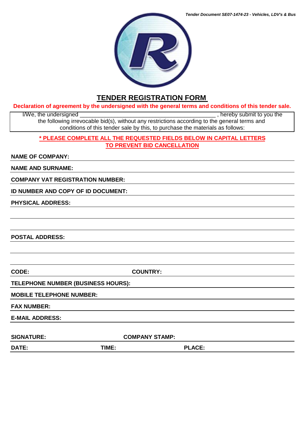

### **TENDER REGISTRATION FORM**

#### **Declaration of agreement by the undersigned with the general terms and conditions of this tender sale.**

I/We, the undersigned  $\blacksquare$ the following irrevocable bid(s), without any restrictions according to the general terms and conditions of this tender sale by this, to purchase the materials as follows:

#### **\* PLEASE COMPLETE ALL THE REQUESTED FIELDS BELOW IN CAPITAL LETTERS TO PREVENT BID CANCELLATION**

#### **NAME OF COMPANY:**

**NAME AND SURNAME:**

**COMPANY VAT REGISTRATION NUMBER:**

**ID NUMBER AND COPY OF ID DOCUMENT:**

**PHYSICAL ADDRESS:**

**POSTAL ADDRESS:**

**CODE: COUNTRY:**

**TELEPHONE NUMBER (BUSINESS HOURS):**

**MOBILE TELEPHONE NUMBER:**

**FAX NUMBER:**

**E-MAIL ADDRESS:** 

SIGNATURE: COMPANY STAMP:

**DATE: TIME: PLACE:**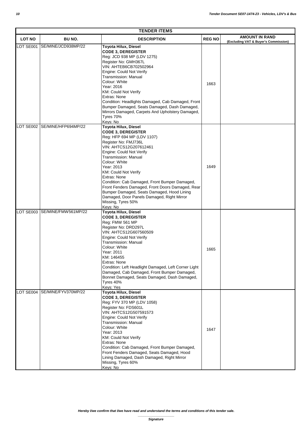| <b>TENDER ITEMS</b> |                               |                                                                                                                                                                                                                                                                                                                                                                                                                                                                                                        |               |                                                               |  |  |
|---------------------|-------------------------------|--------------------------------------------------------------------------------------------------------------------------------------------------------------------------------------------------------------------------------------------------------------------------------------------------------------------------------------------------------------------------------------------------------------------------------------------------------------------------------------------------------|---------------|---------------------------------------------------------------|--|--|
| <b>LOT NO</b>       | BU NO.                        | <b>DESCRIPTION</b>                                                                                                                                                                                                                                                                                                                                                                                                                                                                                     | <b>REG NO</b> | <b>AMOUNT IN RAND</b><br>(Excluding VAT & Buyer's Commission) |  |  |
| LOT SE001           | SE/MINE/JCD938MP/22           | <b>Toyota Hilux, Diesel</b><br><b>CODE 3, DEREGISTER</b><br>Reg: JCD 938 MP (LDV 1275)<br>Register No: GMH367L<br>VIN: AHTEB6CB702502964<br>Engine: Could Not Verify<br>Transmission: Manual<br>Colour: White<br>Year: 2016<br>KM: Could Not Verify<br>Extras: None<br>Condition: Headlights Damaged, Cab Damaged, Front<br>Bumper Damaged, Seats Damaged, Dash Damaged,<br>Mirrors Damaged, Carpets And Upholstery Damaged,<br>Tyres 70%<br>Keys: No                                                  | 1663          |                                                               |  |  |
| OT SE002            | SE/MINE/HFP694MP/22           | <b>Toyota Hilux, Diesel</b><br><b>CODE 3, DEREGISTER</b><br>Reg: HFP 694 MP (LDV 1107)<br>Register No: FMJ736L<br>VIN: AHTCS12G207612461<br>Engine: Could Not Verify<br>Transmission: Manual<br>Colour: White<br>Year: 2013<br>KM: Could Not Verify<br>Extras: None<br>Condition: Cab Damaged, Front Bumper Damaged,<br>Front Fenders Damaged, Front Doors Damaged, Rear<br>Bumper Damaged, Seats Damaged, Hood Lining<br>Damaged, Door Panels Damaged, Right Mirror<br>Missing, Tyres 50%<br>Keys: No | 1649          |                                                               |  |  |
|                     | LOT SE003 SE/MINE/FMW561MP/22 | <b>Toyota Hilux, Diesel</b><br><b>CODE 3, DEREGISTER</b><br>Reg: FMW 561 MP<br>Register No: DRD297L<br>VIN: AHTCS12G607560509<br>Engine: Could Not Verify<br><b>Transmission: Manual</b><br>Colour: White<br>Year: 2011<br>KM: 146455<br>Extras: None<br>Condition: Left Headlight Damaged, Left Corner Light<br>Damaged, Cab Damaged, Front Bumper Damaged,<br>Bonnet Damaged, Seats Damaged, Dash Damaged,<br>Tyres 40%<br>Keys: Yes                                                                 | 1665          |                                                               |  |  |
| LOT SE004           | SE/MINE/FYV370MP/22           | Toyota Hilux, Diesel<br><b>CODE 3, DEREGISTER</b><br>Reg: FYV 370 MP (LDV 1058)<br>Register No: FDS601L<br>VIN: AHTCS12G507591573<br>Engine: Could Not Verify<br>Transmission: Manual<br>Colour: White<br>Year: 2013<br>KM: Could Not Verify<br><b>Extras: None</b><br>Condition: Cab Damaged, Front Bumper Damaged,<br>Front Fenders Damaged, Seats Damaged, Hood<br>Lining Damaged, Dash Damaged, Right Mirror<br>Missing, Tyres 60%<br>Keys: No                                                     | 1647          |                                                               |  |  |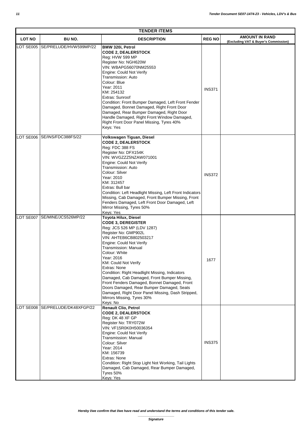| <b>TENDER ITEMS</b> |                               |                                                                                                                                                                                                                                                                                                                                                                                                                                                                                                                                                                  |               |                                                               |  |
|---------------------|-------------------------------|------------------------------------------------------------------------------------------------------------------------------------------------------------------------------------------------------------------------------------------------------------------------------------------------------------------------------------------------------------------------------------------------------------------------------------------------------------------------------------------------------------------------------------------------------------------|---------------|---------------------------------------------------------------|--|
| <b>LOT NO</b>       | BU NO.                        | <b>DESCRIPTION</b>                                                                                                                                                                                                                                                                                                                                                                                                                                                                                                                                               | <b>REG NO</b> | <b>AMOUNT IN RAND</b><br>(Excluding VAT & Buyer's Commission) |  |
| LOT SE005           | SE/PRELUDE/HVW599MP/22        | BMW 320i, Petrol<br><b>CODE 2, DEALERSTOCK</b><br>Reg: HVW 599 MP<br>Register No: NGH620W<br>VIN: WBAPG56070NM25553<br>Engine: Could Not Verify<br>Transmission: Auto<br>Colour: Blue<br>Year: 2011<br>KM: 254132<br>Extras: Sunroof<br>Condition: Front Bumper Damaged, Left Front Fender<br>Damaged, Bonnet Damaged, Right Front Door<br>Damaged, Rear Bumper Damaged, Right Door<br>Handle Damaged, Right Front Window Damaged,<br>Right Front Door Panel Missing, Tyres 40%<br>Keys: Yes                                                                     | <b>INS371</b> |                                                               |  |
|                     | LOT SE006 SE/INS/FDC388FS/22  | Volkswagen Tiguan, Diesel<br><b>CODE 2, DEALERSTOCK</b><br>Reg: FDC 388 FS<br>Register No: DFX154K<br>VIN: WVGZZZ5NZAW071001<br>Engine: Could Not Verify<br>Transmission: Auto<br>Colour: Silver<br>Year: 2010<br>KM: 312457<br>Extras: Bull bar<br>Condition: Left Headlight Missing, Left Front Indicators<br>Missing, Cab Damaged, Front Bumper Missing, Front<br>Fenders Damaged, Left Front Door Damaged, Left<br>Mirror Missing, Tyres 50%<br>Keys: Yes                                                                                                    | <b>INS372</b> |                                                               |  |
|                     | LOT SE007 SE/MINE/JCS526MP/22 | Toyota Hilux, Diesel<br><b>CODE 3, DEREGISTER</b><br>Reg: JCS 526 MP (LDV 1287)<br>Register No: GMP902L<br>VIN: AHTEB6CB802503217<br>Engine: Could Not Verify<br>Transmission: Manual<br>Colour: White<br>Year: 2016<br><b>KM: Could Not Verify</b><br>Extras: None<br>Condition: Right Headlight Missing, Indicators<br>Damaged, Cab Damaged, Front Bumper Missing,<br>Front Fenders Damaged, Bonnet Damaged, Front<br>Doors Damaged, Rear Bumper Damaged, Seats<br>Damaged, Right Door Panel Missing, Dash Stripped,<br>Mirrors Missing, Tyres 30%<br>Keys: No | 1677          |                                                               |  |
| <b>LOT SE008</b>    | SE/PRELUDE/DK48XFGP/22        | <b>Renault Clio, Petrol</b><br><b>CODE 2, DEALERSTOCK</b><br>Reg: DK 48 XF GP<br>Register No: TRY072W<br>VIN: VF15R0K0H50036354<br>Engine: Could Not Verify<br>Transmission: Manual<br>Colour: Silver<br>Year: 2014<br>KM: 156739<br>Extras: None<br>Condition: Right Stop Light Not Working, Tail Lights<br>Damaged, Cab Damaged, Rear Bumper Damaged,<br>Tyres 50%<br>Keys: Yes                                                                                                                                                                                | <b>INS375</b> |                                                               |  |

*Hereby I/we confirm that I/we have read and understand the terms and conditions of this tender sale.*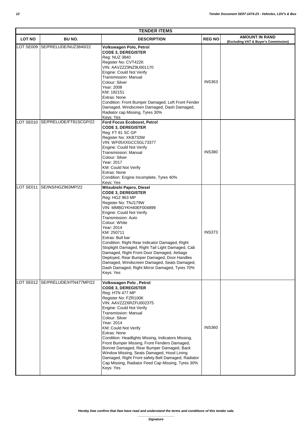|               | <b>TENDER ITEMS</b>              |                                                                                                                                                                                                                                                                                                                                                                                                                                                                                                                                                                                       |               |                                                               |  |  |
|---------------|----------------------------------|---------------------------------------------------------------------------------------------------------------------------------------------------------------------------------------------------------------------------------------------------------------------------------------------------------------------------------------------------------------------------------------------------------------------------------------------------------------------------------------------------------------------------------------------------------------------------------------|---------------|---------------------------------------------------------------|--|--|
| <b>LOT NO</b> | BU NO.                           | <b>DESCRIPTION</b>                                                                                                                                                                                                                                                                                                                                                                                                                                                                                                                                                                    | <b>REG NO</b> | <b>AMOUNT IN RAND</b><br>(Excluding VAT & Buyer's Commission) |  |  |
| LOT SE009     | SE/PRELUDE/NUZ3840/22            | Volkswagen Polo, Petrol<br><b>CODE 3, DEREGISTER</b><br>Reg: NUZ 3840<br>Register No: CVT422K<br>VIN: AAVZZZ9NZ9U001170<br>Engine: Could Not Verify<br>Transmission: Manual<br>Colour: Silver<br>Year: 2008<br>KM: 182151<br>Extras: None<br>Condition: Front Bumper Damaged, Left Front Fender<br>Damaged, Windscreen Damaged, Dash Damaged,<br>Radiator cap Missing, Tyres 30%<br>Keys: Yes                                                                                                                                                                                         | <b>INS363</b> |                                                               |  |  |
| LOT SE010     | SE/PRELUDE/FT81SCGP/22           | Ford Focus Ecoboost, Petrol<br><b>CODE 3, DEREGISTER</b><br>Reg: FT 81 SC GP<br>Register No: XKB733W<br>VIN: WF05XXGCC5GL73377<br>Engine: Could Not Verify<br><b>Transmission: Manual</b><br>Colour: Silver<br>Year: 2017<br>KM: Could Not Verify<br>Extras: None<br>Condition: Engine Incomplete, Tyres 40%<br>Keys: Yes                                                                                                                                                                                                                                                             | <b>INS380</b> |                                                               |  |  |
| OT SE011      | SE/INS/HGZ963MP/22               | Mitsubishi Pajero, Diesel<br><b>CODE 3, DEREGISTER</b><br>Reg: HGZ 963 MP<br>Register No: TNJ179W<br>VIN: MMBGYKH40EF004899<br>Engine: Could Not Verify<br>Transmission: Auto<br>Colour: White<br>Year: 2014<br>KM: 250711<br>Extras: Bull bar<br>Condition: Right Rear Indicator Damaged, Right<br>Stoplight Damaged, Right Tail Light Damaged, Cab<br>Damaged, Right Front Door Damaged, Airbags<br>Deployed, Rear Bumper Damaged, Door Handles<br>Damaged, Windscreen Damaged, Seats Damaged,<br>Dash Damaged, Right Mirror Damaged, Tyres 70%<br>Keys: Yes                        | <b>INS373</b> |                                                               |  |  |
|               | LOT SE012 SE/PRELUDE/HTN477MP/22 | Volkswagen Polo, Petrol<br><b>CODE 3, DEREGISTER</b><br>Reg: HTN 477 MP<br>Register No: FZR100K<br>VIN: AAVZZZ6RZFU002375<br>Engine: Could Not Verify<br><b>Transmission: Manual</b><br>Colour: Silver<br>Year: 2014<br>KM: Could Not Verify<br>Extras: None<br>Condition: Headlights Missing, Indicators Missing,<br>Front Bumper Missing, Front Fenders Damaged,<br>Bonnet Damaged, Rear Bumper Damaged, Back<br>Window Missing, Seats Damaged, Hood Lining<br>Damaged, Right Front safety Belt Damaged, Radiator<br>Cap Missing, Radiator Feed Cap Missing, Tyres 30%<br>Keys: Yes | <b>INS360</b> |                                                               |  |  |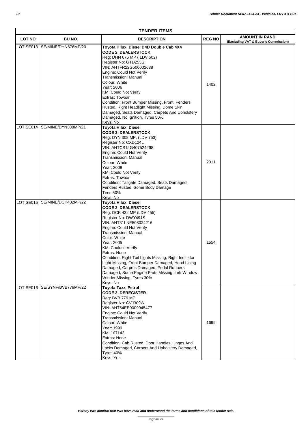|               | <b>TENDER ITEMS</b>           |                                                                                                                                                                                                                                                                                                                                                                                                                                                                                                                       |               |                                                               |  |  |  |
|---------------|-------------------------------|-----------------------------------------------------------------------------------------------------------------------------------------------------------------------------------------------------------------------------------------------------------------------------------------------------------------------------------------------------------------------------------------------------------------------------------------------------------------------------------------------------------------------|---------------|---------------------------------------------------------------|--|--|--|
| <b>LOT NO</b> | <b>BU NO.</b>                 | <b>DESCRIPTION</b>                                                                                                                                                                                                                                                                                                                                                                                                                                                                                                    | <b>REG NO</b> | <b>AMOUNT IN RAND</b><br>(Excluding VAT & Buyer's Commission) |  |  |  |
|               | LOT SE013 SE/MINE/DHN676MP/20 | Toyota Hilux, Diesel D4D Double Cab 4X4<br><b>CODE 2, DEALERSTOCK</b><br>Reg: DHN 676 MP (LDV 502)<br>Register No: GTD253S<br>VIN: AHTFR22G506002638<br>Engine: Could Not Verify<br><b>Transmission: Manual</b><br>Colour: White<br>Year: 2006<br>KM: Could Not Verify<br>Extras: Towbar<br>Condition: Front Bumper Missing, Front Fenders<br>Rusted, Right Headlight Missing, Dome Skin<br>Damaged, Seats Damaged, Carpets And Upholstery<br>Damaged, No Ignition, Tyres 50%<br>Keys: No                             | 1402          |                                                               |  |  |  |
| LOT SE014     | SE/MINE/DYN308MP/21           | Toyota Hilux, Diesel<br><b>CODE 2, DEALERSTOCK</b><br>Reg: DYN 308 MP, (LDV 753)<br>Register No: CXD124L<br>VIN: AHTCS12G407524298<br>Engine: Could Not Verify<br><b>Transmission: Manual</b><br>Colour: White<br>Year: 2008<br>KM: Could Not Verify<br>Extras: Towbar<br>Condition: Tailgate Damaged, Seats Damaged,<br>Fenders Rusted, Some Body Damage<br>Tires 50%<br>Keys: No                                                                                                                                    | 2011          |                                                               |  |  |  |
|               | LOT SE015 SE/MINE/DCK432MP/22 | Toyota Hilux, Diesel<br><b>CODE 2, DEALERSTOCK</b><br>Reg: DCK 432 MP (LDV 455)<br>Register No: DWY491S<br>VIN: AHT31LNE508024216<br>Engine: Could Not Verify<br><b>Transmission: Manual</b><br>Color: White<br>Year: 2005<br>KM: Couldn't Verify<br>Extras: None<br>Condition: Right Tail Lights Missing, Right Indicator<br>Light Missing, Front Bumper Damaged, Hood Lining<br>Damaged, Carpets Damaged, Pedal Rubbers<br>Damaged, Some Engine Parts Missing, Left Window<br>Winder Missing, Tyres 30%<br>Keys: No | 1654          |                                                               |  |  |  |
|               | LOT SE016 SE/SYNF/BVB779MP/22 | Toyota Tazz, Petrol<br><b>CODE 3, DEREGISTER</b><br>Reg: BVB 779 MP<br>Register No: CVJ309W<br>VIN: AHT54EE9009945477<br>Engine: Could Not Verify<br>Transmission: Manual<br>Colour: White<br>Year: 1999<br>KM: 107142<br>Extras: None<br>Condition: Cab Rusted, Door Handles Hinges And<br>Locks Damaged, Carpets And Upholstery Damaged,<br>Tyres 40%<br>Keys: Yes                                                                                                                                                  | 1699          |                                                               |  |  |  |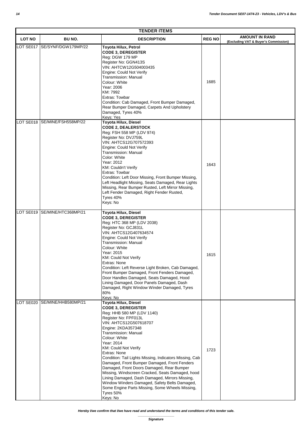| <b>TENDER ITEMS</b> |                     |                                                                                                                                                                                                                                                                                                                                                                                                                                                                                                                                                                                                                                                          |               |                                                               |  |  |
|---------------------|---------------------|----------------------------------------------------------------------------------------------------------------------------------------------------------------------------------------------------------------------------------------------------------------------------------------------------------------------------------------------------------------------------------------------------------------------------------------------------------------------------------------------------------------------------------------------------------------------------------------------------------------------------------------------------------|---------------|---------------------------------------------------------------|--|--|
| <b>LOT NO</b>       | BU NO.              | <b>DESCRIPTION</b>                                                                                                                                                                                                                                                                                                                                                                                                                                                                                                                                                                                                                                       | <b>REG NO</b> | <b>AMOUNT IN RAND</b><br>(Excluding VAT & Buyer's Commission) |  |  |
| LOT SE017           | SE/SYNF/DGW179MP/22 | <b>Toyota Hilux, Petrol</b><br><b>CODE 3, DEREGISTER</b><br>Reg: DGW 179 MP<br>Register No: GGN413S<br>VIN: AHTCW12G504003435<br>Engine: Could Not Verify<br>Transmission: Manual<br>Colour: White<br>Year: 2006<br>KM: 7992<br>Extras: Towbar<br>Condition: Cab Damaged, Front Bumper Damaged,<br>Rear Bumper Damaged, Carpets And Upholstery<br>Damaged, Tyres 40%<br>Keys: Yes                                                                                                                                                                                                                                                                        | 1685          |                                                               |  |  |
| LOT SE018           | SE/MINE/FSH558MP/22 | Toyota Hilux, Diesel<br><b>CODE 2, DEALERSTOCK</b><br>Reg: FSH 558 MP (LDV 974)<br>Register No: DVJ759L<br>VIN: AHTCS12G707572393<br>Engine: Could Not Verify<br>Transmission: Manual<br>Color: White<br>Year: 2012<br>KM: Couldn't Verify<br>Extras: Towbar<br>Condition: Left Door Missing, Front Bumper Missing,<br>Left Headlight Missing, Seats Damaged, Rear Lights<br>Missing, Rear Bumper Rusted, Left Mirror Missing,<br>Left Fender Damaged, Right Fender Rusted,<br>Tyres 40%<br>Keys: No                                                                                                                                                     | 1643          |                                                               |  |  |
| LOT SE019           | SE/MINE/HTC368MP/21 | <b>Toyota Hilux, Diesel</b><br><b>CODE 3, DEREGISTER</b><br>Reg: HTC 368 MP (LDV 2038)<br>Register No: GCJ831L<br>VIN: AHTCS12G407634574<br>Engine: Could Not Verify<br><b>Transmission: Manual</b><br>Colour: White<br>Year: 2015<br>KM: Could Not Verify<br>Extras: None<br>Condition: Left Reverse Light Broken, Cab Damaged,<br>Front Bumper Damaged, Front Fenders Damaged,<br>Door Handles Damaged, Seats Damaged, Hood<br>Lining Damaged, Door Panels Damaged, Dash<br>Damaged, Right Window Winder Damaged, Tyres<br>80%<br>Keys: No                                                                                                             | 1615          |                                                               |  |  |
| LOT SE020           | SE/MINE/HHB580MP/21 | Toyota Hilux, Diesel<br><b>CODE 3, DEREGISTER</b><br>Reg: HHB 580 MP (LDV 1140)<br>Register No: FPF013L<br>VIN: AHTCS12G507618707<br>Engine: 2KDA357348<br>Transmission: Manual<br>Colour: White<br>Year: 2014<br><b>KM: Could Not Verify</b><br>Extras: None<br>Condition: Tail Lights Missing, Indicators Missing, Cab<br>Damaged, Front Bumper Damaged, Front Fenders<br>Damaged, Front Doors Damaged, Rear Bumper<br>Missing, Windscreen Cracked, Seats Damaged, hood<br>Lining Damaged, Dash Damaged, Mirrors Missing,<br>Window Winders Damaged, Safety Belts Damaged,<br>Some Engine Parts Missing, Some Wheels Missing,<br>Tyres 50%<br>Keys: No | 1723          |                                                               |  |  |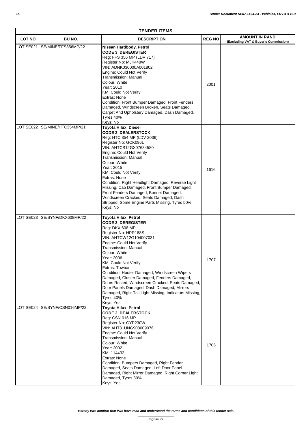| <b>TENDER ITEMS</b> |                               |                                                                                                                                                                                                                                                                                                                                                                                                                                                                                                                                                |              |                                                               |  |
|---------------------|-------------------------------|------------------------------------------------------------------------------------------------------------------------------------------------------------------------------------------------------------------------------------------------------------------------------------------------------------------------------------------------------------------------------------------------------------------------------------------------------------------------------------------------------------------------------------------------|--------------|---------------------------------------------------------------|--|
| <b>LOT NO</b>       | <b>BU NO.</b>                 | <b>DESCRIPTION</b>                                                                                                                                                                                                                                                                                                                                                                                                                                                                                                                             | <b>REGNO</b> | <b>AMOUNT IN RAND</b><br>(Excluding VAT & Buyer's Commission) |  |
| LOT SE021           | SE/MINE/FFS356MP/22           | Nissan Hardbody, Petrol<br><b>CODE 3, DEREGISTER</b><br>Reg: FFS 356 MP (LDV 717)<br>Register No: MJK448W<br>VIN: ADNK030000A001802<br>Engine: Could Not Verify<br>Transmission: Manual<br>Colour: White<br>Year: 2010<br><b>KM: Could Not Verify</b><br>Extras: None<br>Condition: Front Bumper Damaged, Front Fenders<br>Damaged, Windscreen Broken, Seats Damaged,<br>Carpet And Upholstery Damaged, Dash Damaged,<br>Tyres 40%<br>Keys: No                                                                                                 | 2001         |                                                               |  |
| LOT SE022           | SE/MINE/HTC354MP/21           | Toyota Hilux, Diesel<br><b>CODE 2, DEALERSTOCK</b><br>Reg: HTC 354 MP (LDV 2036)<br>Register No: GCK096L<br>VIN: AHTCS12GX07634580<br>Engine: Could Not Verify<br>Transmission: Manual<br>Colour: White<br>Year: 2015<br>KM: Could Not Verify<br>Extras: None<br>Condition: Right Headlight Damaged, Reverse Light<br>Missing, Cab Damaged, Front Bumper Damaged,<br>Front Fenders Damaged, Bonnet Damaged,<br>Windscreen Cracked, Seats Damaged, Dash<br>Stripped, Some Engine Parts Missing, Tyres 50%<br>Keys: No                           | 1616         |                                                               |  |
|                     | LOT SE023 SE/SYNF/DKX608MP/22 | Toyota Hilux, Petrol<br><b>CODE 3, DEREGISTER</b><br>Reg: DKX 608 MP<br>Register No: HPR188S<br>VIN: AHTCW12G104007031<br>Engine: Could Not Verify<br>Transmission: Manual<br>Colour: White<br>Year: 2006<br><b>KM: Could Not Verify</b><br>Extras: Towbar<br>Condition: Hooter Damaged, Windscreen Wipers<br>Damaged, Cluster Damaged, Fenders Damaged,<br>Doors Rusted, Windscreen Cracked, Seats Damaged,<br>Door Panels Damaged, Dash Damaged, Mirrors<br>Damaged, Right Tail Light Missing, Indicators Missing,<br>Tyres 40%<br>Keys: Yes | 1707         |                                                               |  |
| LOT SE024           | SE/SYNF/CSN016MP/22           | Toyota Hilux, Petrol<br><b>CODE 2, DEALERSTOCK</b><br>Reg: CSN 016 MP<br>Register No: GYP230W<br>VIN: AHT31UNG908009076<br>Engine: Could Not Verify<br>Transmission: Manual<br>Colour: White<br>Year: 2002<br>KM: 114432<br>Extras: None<br>Condition: Bumpers Damaged, Right Fender<br>Damaged, Seats Damaged, Left Door Panel<br>Damaged, Right Mirror Damaged, Right Corner Light<br>Damaged, Tyres 30%<br>Keys: Yes                                                                                                                        | 1706         |                                                               |  |